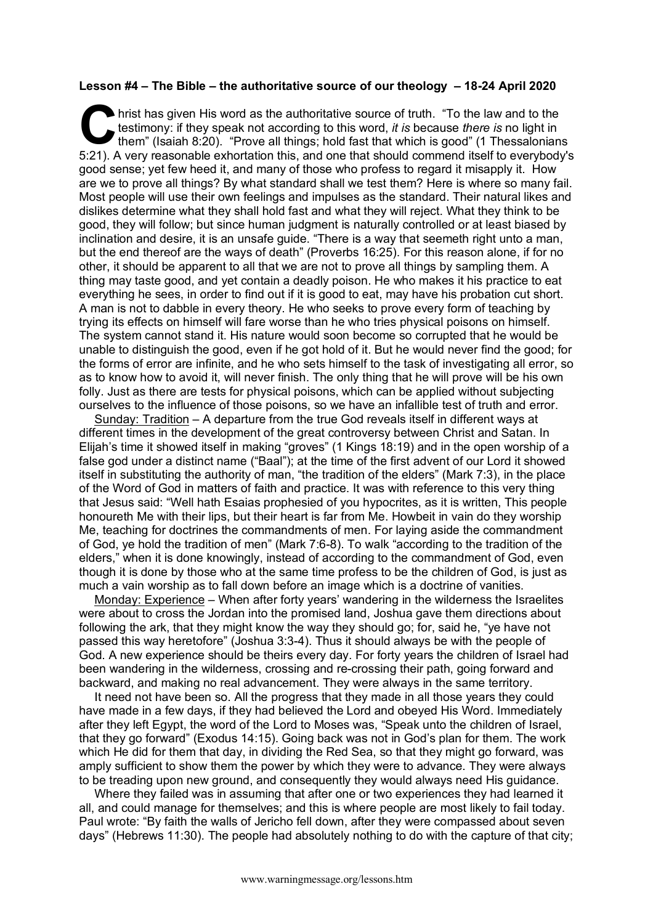## **Lesson #4 – The Bible – the authoritative source of our theology – 18-24 April 2020**

hrist has given His word as the authoritative source of truth. "To the law and to the testimony: if they speak not according to this word, *it is* because *there is* no light in them" (Isaiah 8:20). "Prove all things; hold fast that which is good" (1 Thessalonians 5:21). A very reasonable exhortation this, and one that should commend itself to everybody's good sense; yet few heed it, and many of those who profess to regard it misapply it. How are we to prove all things? By what standard shall we test them? Here is where so many fail. Most people will use their own feelings and impulses as the standard. Their natural likes and dislikes determine what they shall hold fast and what they will reject. What they think to be good, they will follow; but since human judgment is naturally controlled or at least biased by inclination and desire, it is an unsafe guide. "There is a way that seemeth right unto a man, but the end thereof are the ways of death" (Proverbs 16:25). For this reason alone, if for no other, it should be apparent to all that we are not to prove all things by sampling them. A thing may taste good, and yet contain a deadly poison. He who makes it his practice to eat everything he sees, in order to find out if it is good to eat, may have his probation cut short. A man is not to dabble in every theory. He who seeks to prove every form of teaching by trying its effects on himself will fare worse than he who tries physical poisons on himself. The system cannot stand it. His nature would soon become so corrupted that he would be unable to distinguish the good, even if he got hold of it. But he would never find the good; for the forms of error are infinite, and he who sets himself to the task of investigating all error, so as to know how to avoid it, will never finish. The only thing that he will prove will be his own folly. Just as there are tests for physical poisons, which can be applied without subjecting ourselves to the influence of those poisons, so we have an infallible test of truth and error. C hris

Sunday: Tradition – A departure from the true God reveals itself in different ways at different times in the development of the great controversy between Christ and Satan. In Elijah's time it showed itself in making "groves" (1 Kings 18:19) and in the open worship of a false god under a distinct name ("Baal"); at the time of the first advent of our Lord it showed itself in substituting the authority of man, "the tradition of the elders" (Mark 7:3), in the place of the Word of God in matters of faith and practice. It was with reference to this very thing that Jesus said: "Well hath Esaias prophesied of you hypocrites, as it is written, This people honoureth Me with their lips, but their heart is far from Me. Howbeit in vain do they worship Me, teaching for doctrines the commandments of men. For laying aside the commandment of God, ye hold the tradition of men" (Mark 7:6-8). To walk "according to the tradition of the elders," when it is done knowingly, instead of according to the commandment of God, even though it is done by those who at the same time profess to be the children of God, is just as much a vain worship as to fall down before an image which is a doctrine of vanities.

Monday: Experience – When after forty years' wandering in the wilderness the Israelites were about to cross the Jordan into the promised land, Joshua gave them directions about following the ark, that they might know the way they should go; for, said he, "ye have not passed this way heretofore" (Joshua 3:3-4). Thus it should always be with the people of God. A new experience should be theirs every day. For forty years the children of Israel had been wandering in the wilderness, crossing and re-crossing their path, going forward and backward, and making no real advancement. They were always in the same territory.

It need not have been so. All the progress that they made in all those years they could have made in a few days, if they had believed the Lord and obeyed His Word. Immediately after they left Egypt, the word of the Lord to Moses was, "Speak unto the children of Israel, that they go forward" (Exodus 14:15). Going back was not in God's plan for them. The work which He did for them that day, in dividing the Red Sea, so that they might go forward, was amply sufficient to show them the power by which they were to advance. They were always to be treading upon new ground, and consequently they would always need His guidance.

Where they failed was in assuming that after one or two experiences they had learned it all, and could manage for themselves; and this is where people are most likely to fail today. Paul wrote: "By faith the walls of Jericho fell down, after they were compassed about seven days" (Hebrews 11:30). The people had absolutely nothing to do with the capture of that city;